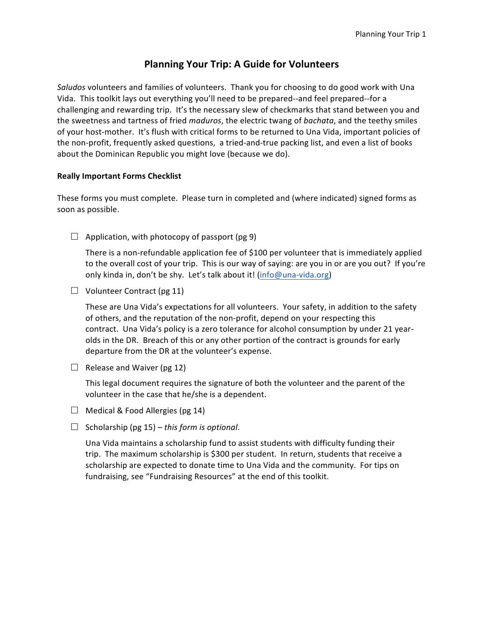# **Planning Your Trip: A Guide for Volunteers**

*Saludos* volunteers and families of volunteers. Thank you for choosing to do good work with Una Vida. This toolkit lays out everything you'll need to be prepared--and feel prepared--for a challenging and rewarding trip. It's the necessary slew of checkmarks that stand between you and the sweetness and tartness of fried *maduros*, the electric twang of *bachata*, and the teethy smiles of your host-mother. It's flush with critical forms to be returned to Una Vida, important policies of the non-profit, frequently asked questions, a tried-and-true packing list, and even a list of books about the Dominican Republic you might love (because we do).

### **Really Important Forms Checklist**

These forms you must complete. Please turn in completed and (where indicated) signed forms as soon as possible.

□ Application, with photocopy of passport (pg 9)

There is a non-refundable application fee of \$100 per volunteer that is immediately applied to the overall cost of your trip. This is our way of saying: are you in or are you out? If you're only kinda in, don't be shy. Let's talk about it! (info@una-vida.org)

□ Volunteer Contract (pg 11)

These are Una Vida's expectations for all volunteers. Your safety, in addition to the safety of others, and the reputation of the non-profit, depend on your respecting this contract. Una Vida's policy is a zero tolerance for alcohol consumption by under 21 yearolds in the DR. Breach of this or any other portion of the contract is grounds for early departure from the DR at the volunteer's expense.

□ Release and Waiver (pg 12)

This legal document requires the signature of both the volunteer and the parent of the volunteer in the case that he/she is a dependent.

- **□** Medical & Food Allergies (pg 14)
- $\Box$  Scholarship (pg 15) *this form is optional*.

Una Vida maintains a scholarship fund to assist students with difficulty funding their trip. The maximum scholarship is \$300 per student. In return, students that receive a scholarship are expected to donate time to Una Vida and the community. For tips on fundraising, see "Fundraising Resources" at the end of this toolkit.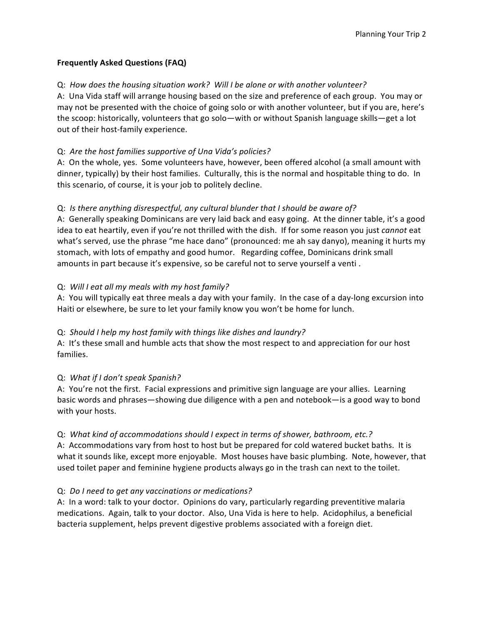## **Frequently Asked Questions (FAQ)**

## Q: How does the housing situation work? Will I be alone or with another volunteer?

A: Una Vida staff will arrange housing based on the size and preference of each group. You may or may not be presented with the choice of going solo or with another volunteer, but if you are, here's the scoop: historically, volunteers that go solo—with or without Spanish language skills—get a lot out of their host-family experience.

## Q: Are the host families supportive of Una Vida's policies?

A: On the whole, yes. Some volunteers have, however, been offered alcohol (a small amount with dinner, typically) by their host families. Culturally, this is the normal and hospitable thing to do. In this scenario, of course, it is your job to politely decline.

## Q: *Is there anything disrespectful, any cultural blunder that I should be aware of?*

A: Generally speaking Dominicans are very laid back and easy going. At the dinner table, it's a good idea to eat heartily, even if you're not thrilled with the dish. If for some reason you just *cannot* eat what's served, use the phrase "me hace dano" (pronounced: me ah say danyo), meaning it hurts my stomach, with lots of empathy and good humor. Regarding coffee, Dominicans drink small amounts in part because it's expensive, so be careful not to serve yourself a venti.

## Q: Will I eat all my meals with my host family?

A: You will typically eat three meals a day with your family. In the case of a day-long excursion into Haiti or elsewhere, be sure to let your family know you won't be home for lunch.

### Q: Should I help my host family with things like dishes and laundry?

A: It's these small and humble acts that show the most respect to and appreciation for our host families. 

## Q: What if I don't speak Spanish?

A: You're not the first. Facial expressions and primitive sign language are your allies. Learning basic words and phrases—showing due diligence with a pen and notebook—is a good way to bond with your hosts.

### Q: *What kind of accommodations should I expect in terms of shower, bathroom, etc.?*

A: Accommodations vary from host to host but be prepared for cold watered bucket baths. It is what it sounds like, except more enjoyable. Most houses have basic plumbing. Note, however, that used toilet paper and feminine hygiene products always go in the trash can next to the toilet.

### Q: *Do I need to get any vaccinations or medications?*

A: In a word: talk to your doctor. Opinions do vary, particularly regarding preventitive malaria medications. Again, talk to your doctor. Also, Una Vida is here to help. Acidophilus, a beneficial bacteria supplement, helps prevent digestive problems associated with a foreign diet.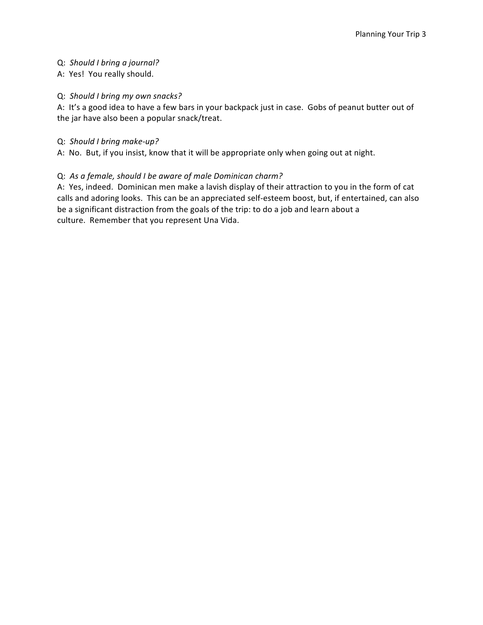## Q: *Should I bring a journal?*

A: Yes! You really should.

## Q: *Should I bring my own snacks?*

A: It's a good idea to have a few bars in your backpack just in case. Gobs of peanut butter out of the jar have also been a popular snack/treat.

## Q: *Should I bring make-up?*

A: No. But, if you insist, know that it will be appropriate only when going out at night.

## Q: As a female, should I be aware of male Dominican charm?

A: Yes, indeed. Dominican men make a lavish display of their attraction to you in the form of cat calls and adoring looks. This can be an appreciated self-esteem boost, but, if entertained, can also be a significant distraction from the goals of the trip: to do a job and learn about a culture. Remember that you represent Una Vida.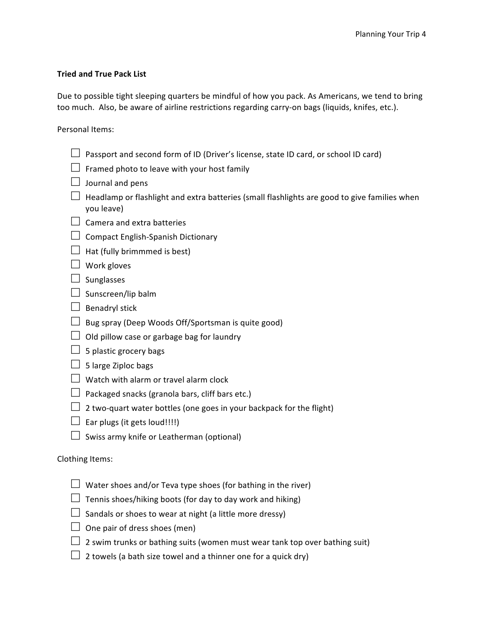## **Tried and True Pack List**

Due to possible tight sleeping quarters be mindful of how you pack. As Americans, we tend to bring too much. Also, be aware of airline restrictions regarding carry-on bags (liquids, knifes, etc.).

Personal Items:

- □ Passport and second form of ID (Driver's license, state ID card, or school ID card)
- □ Framed photo to leave with your host family
- □ Journal and pens
- $\Box$  Headlamp or flashlight and extra batteries (small flashlights are good to give families when you leave)
- $\Box$  Camera and extra batteries
- □ Compact English-Spanish Dictionary
- $\Box$  Hat (fully brimmmed is best)
- **□** Work gloves
- **□** Sunglasses
- □ Sunscreen/lip balm
- **□** Benadryl stick
- □ Bug spray (Deep Woods Off/Sportsman is quite good)
- $\Box$  Old pillow case or garbage bag for laundry
- $\Box$  5 plastic grocery bags
- □ 5 large Ziploc bags
- □ Watch with alarm or travel alarm clock
- $\Box$  Packaged snacks (granola bars, cliff bars etc.)
- $\Box$  2 two-quart water bottles (one goes in your backpack for the flight)
- $\Box$  Ear plugs (it gets loud!!!!)
- □ Swiss army knife or Leatherman (optional)

### Clothing Items:

- $\Box$  Water shoes and/or Teva type shoes (for bathing in the river)
- $\Box$  Tennis shoes/hiking boots (for day to day work and hiking)
- $\Box$  Sandals or shoes to wear at night (a little more dressy)
- $\Box$  One pair of dress shoes (men)
- $\Box$  2 swim trunks or bathing suits (women must wear tank top over bathing suit)
- $\Box$  2 towels (a bath size towel and a thinner one for a quick dry)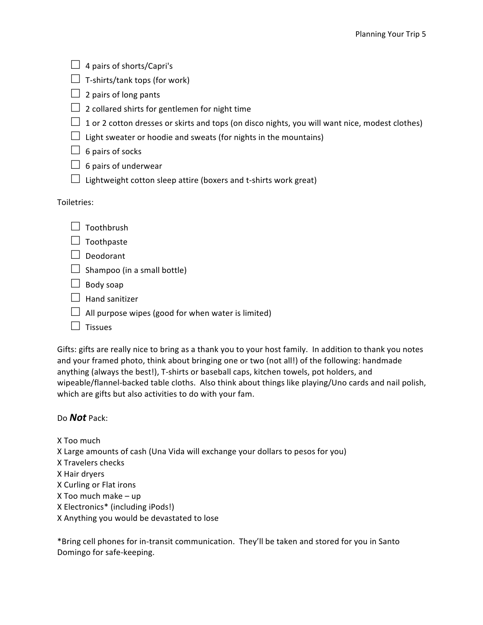|             | 4 pairs of shorts/Capri's                                                                      |
|-------------|------------------------------------------------------------------------------------------------|
|             | T-shirts/tank tops (for work)                                                                  |
|             | 2 pairs of long pants                                                                          |
|             | 2 collared shirts for gentlemen for night time                                                 |
|             | 1 or 2 cotton dresses or skirts and tops (on disco nights, you will want nice, modest clothes) |
|             | Light sweater or hoodie and sweats (for nights in the mountains)                               |
|             | 6 pairs of socks                                                                               |
|             | 6 pairs of underwear                                                                           |
|             | Lightweight cotton sleep attire (boxers and t-shirts work great)                               |
|             |                                                                                                |
|             |                                                                                                |
|             | Toothbrush                                                                                     |
| Toiletries: | Toothpaste                                                                                     |
|             | Deodorant                                                                                      |
|             | Shampoo (in a small bottle)                                                                    |
|             | Body soap                                                                                      |
|             | <b>Hand sanitizer</b>                                                                          |
|             | All purpose wipes (good for when water is limited)                                             |

Gifts: gifts are really nice to bring as a thank you to your host family. In addition to thank you notes and your framed photo, think about bringing one or two (not all!) of the following: handmade anything (always the best!), T-shirts or baseball caps, kitchen towels, pot holders, and wipeable/flannel-backed table cloths. Also think about things like playing/Uno cards and nail polish, which are gifts but also activities to do with your fam.

## Do *Not* Pack:

X Too much

X Large amounts of cash (Una Vida will exchange your dollars to pesos for you)

- X Travelers checks
- X Hair dryers
- X Curling or Flat irons
- $X$  Too much make  $-$  up
- X Electronics\* (including iPods!)
- X Anything you would be devastated to lose

\*Bring cell phones for in-transit communication. They'll be taken and stored for you in Santo Domingo for safe-keeping.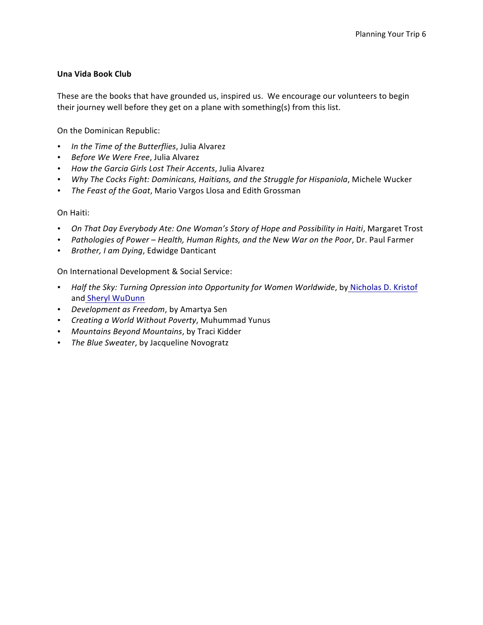## **Una Vida Book Club**

These are the books that have grounded us, inspired us. We encourage our volunteers to begin their journey well before they get on a plane with something(s) from this list.

On the Dominican Republic:

- In the Time of the Butterflies, Julia Alvarez
- *Before We Were Free*, Julia Alvarez
- *How the Garcia Girls Lost Their Accents*, Julia Alvarez
- *Why The Cocks Fight: Dominicans, Haitians, and the Struggle for Hispaniola, Michele Wucker*
- The Feast of the Goat, Mario Vargos Llosa and Edith Grossman

### On Haiti:

- *On That Day Everybody Ate: One Woman's Story of Hope and Possibility in Haiti, Margaret Trost*
- Pathologies of Power Health, Human Rights, and the New War on the Poor, Dr. Paul Farmer
- *Brother, I am Dying*, Edwidge Danticant

On International Development & Social Service:

- *Half the Sky: Turning Opression into Opportunity for Women Worldwide*, by Nicholas D. Kristof and Sheryl WuDunn
- *Development as Freedom*, by Amartya Sen
- *Creating a World Without Poverty*, Muhummad Yunus
- *Mountains Beyond Mountains*, by Traci Kidder
- The Blue Sweater, by Jacqueline Novogratz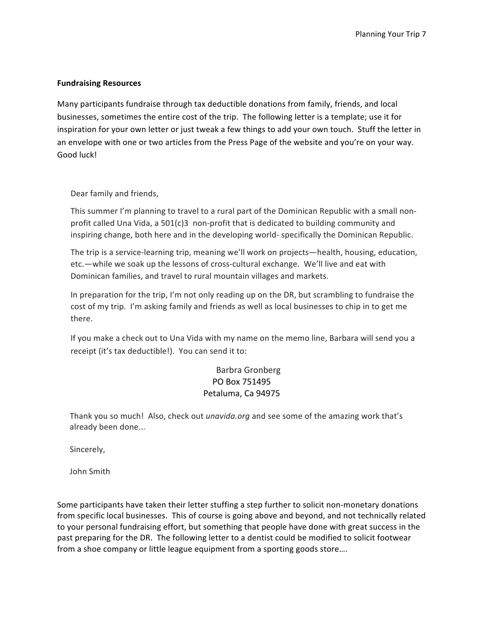### **Fundraising Resources**

Many participants fundraise through tax deductible donations from family, friends, and local businesses, sometimes the entire cost of the trip. The following letter is a template; use it for inspiration for your own letter or just tweak a few things to add your own touch. Stuff the letter in an envelope with one or two articles from the Press Page of the website and you're on your way. Good luck!

Dear family and friends,

This summer I'm planning to travel to a rural part of the Dominican Republic with a small nonprofit called Una Vida, a  $501(c)3$  non-profit that is dedicated to building community and inspiring change, both here and in the developing world- specifically the Dominican Republic.

The trip is a service-learning trip, meaning we'll work on projects—health, housing, education, etc.—while we soak up the lessons of cross-cultural exchange. We'll live and eat with Dominican families, and travel to rural mountain villages and markets.

In preparation for the trip, I'm not only reading up on the DR, but scrambling to fundraise the cost of my trip. I'm asking family and friends as well as local businesses to chip in to get me there. 

If you make a check out to Una Vida with my name on the memo line, Barbara will send you a receipt (it's tax deductible!). You can send it to:

# Barbra Gronberg PO Box 751495 Petaluma, Ca 94975

Thank you so much! Also, check out *unavida.org* and see some of the amazing work that's already been done...

Sincerely,

John Smith

Some participants have taken their letter stuffing a step further to solicit non-monetary donations from specific local businesses. This of course is going above and beyond, and not technically related to your personal fundraising effort, but something that people have done with great success in the past preparing for the DR. The following letter to a dentist could be modified to solicit footwear from a shoe company or little league equipment from a sporting goods store....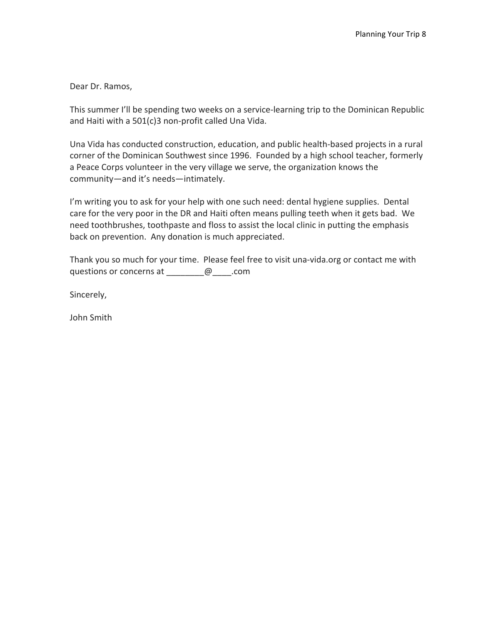Dear Dr. Ramos,

This summer I'll be spending two weeks on a service-learning trip to the Dominican Republic and Haiti with a  $501(c)3$  non-profit called Una Vida.

Una Vida has conducted construction, education, and public health-based projects in a rural corner of the Dominican Southwest since 1996. Founded by a high school teacher, formerly a Peace Corps volunteer in the very village we serve, the organization knows the community—and it's needs—intimately.

I'm writing you to ask for your help with one such need: dental hygiene supplies. Dental care for the very poor in the DR and Haiti often means pulling teeth when it gets bad. We need toothbrushes, toothpaste and floss to assist the local clinic in putting the emphasis back on prevention. Any donation is much appreciated.

Thank you so much for your time. Please feel free to visit una-vida.org or contact me with questions or concerns at  $\qquad \qquad \qquad \omega \qquad \text{.com}$ 

Sincerely,

John Smith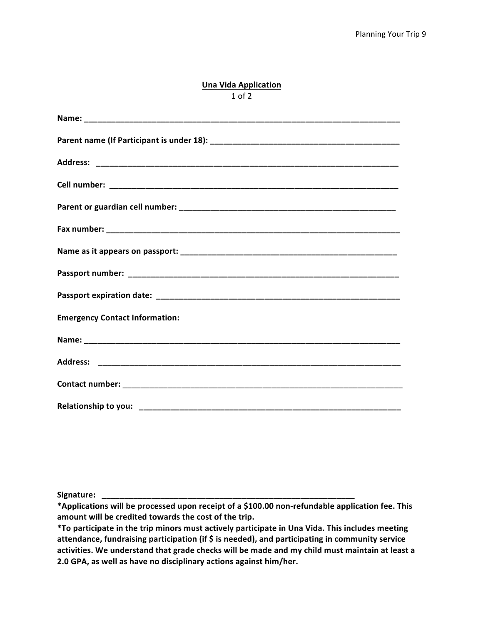#### **Una Vida Application** 1 of 2

| <b>Emergency Contact Information:</b> |
|---------------------------------------|
|                                       |
|                                       |
|                                       |
|                                       |

Signature: \_

\*Applications will be processed upon receipt of a \$100.00 non-refundable application fee. This amount will be credited towards the cost of the trip.

\*To participate in the trip minors must actively participate in Una Vida. This includes meeting attendance, fundraising participation (if \$ is needed), and participating in community service activities. We understand that grade checks will be made and my child must maintain at least a 2.0 GPA, as well as have no disciplinary actions against him/her.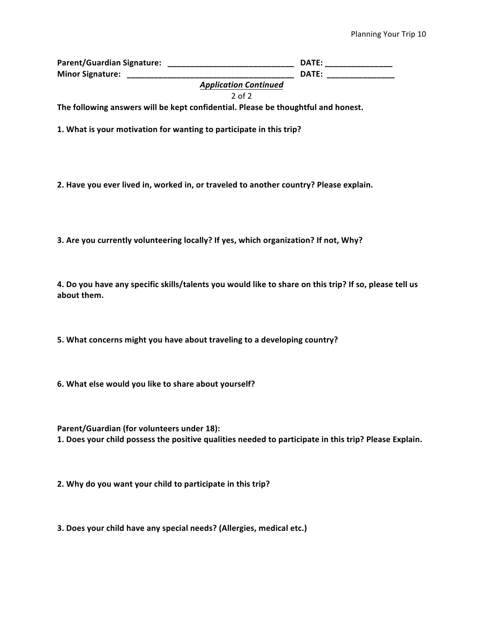**Parent/Guardian Signature: \_\_\_\_\_\_\_\_\_\_\_\_\_\_\_\_\_\_\_\_\_\_\_\_\_\_\_\_ DATE: \_\_\_\_\_\_\_\_\_\_\_\_\_\_\_ Minor Signature: \_\_\_\_\_\_\_\_\_\_\_\_\_\_\_\_\_\_\_\_\_\_\_\_\_\_\_\_\_\_\_\_\_\_\_\_\_ DATE: \_\_\_\_\_\_\_\_\_\_\_\_\_\_\_**

*Application Continued*

2 of 2

The following answers will be kept confidential. Please be thoughtful and honest.

**1.** What is your motivation for wanting to participate in this trip?

2. Have you ever lived in, worked in, or traveled to another country? Please explain.

**3.** Are you currently volunteering locally? If yes, which organization? If not, Why?

**4.** Do you have any specific skills/talents you would like to share on this trip? If so, please tell us about them.

**5.** What concerns might you have about traveling to a developing country?

**6.** What else would you like to share about yourself?

**Parent/Guardian (for volunteers under 18):** 1. Does your child possess the positive qualities needed to participate in this trip? Please Explain.

**2.** Why do you want your child to participate in this trip?

**3.** Does your child have any special needs? (Allergies, medical etc.)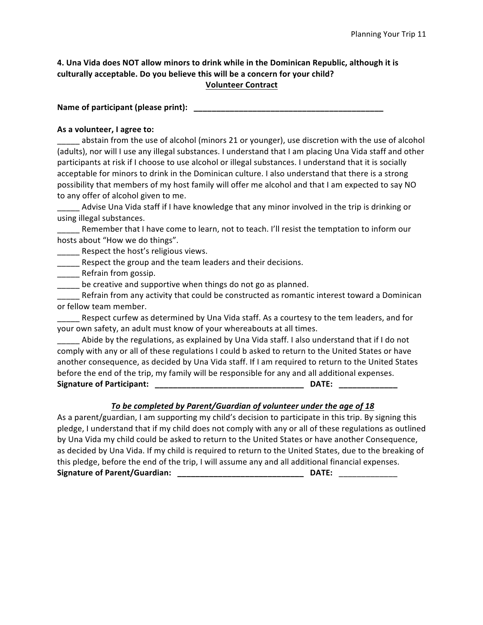## **4. Una Vida does NOT allow minors to drink while in the Dominican Republic, although it is** culturally acceptable. Do you believe this will be a concern for your child? **Volunteer Contract**

**Name of participant (please print): \_\_\_\_\_\_\_\_\_\_\_\_\_\_\_\_\_\_\_\_\_\_\_\_\_\_\_\_\_\_\_\_\_\_\_\_\_\_\_\_\_\_**

## As a volunteer, I agree to:

abstain from the use of alcohol (minors 21 or younger), use discretion with the use of alcohol (adults), nor will I use any illegal substances. I understand that I am placing Una Vida staff and other participants at risk if I choose to use alcohol or illegal substances. I understand that it is socially acceptable for minors to drink in the Dominican culture. I also understand that there is a strong possibility that members of my host family will offer me alcohol and that I am expected to say NO to any offer of alcohol given to me.

Advise Una Vida staff if I have knowledge that any minor involved in the trip is drinking or using illegal substances.

Letture member that I have come to learn, not to teach. I'll resist the temptation to inform our hosts about "How we do things".

Respect the host's religious views.

\_\_\_\_\_ Respect the group and the team leaders and their decisions.

**\_\_\_\_\_** Refrain from gossip.

\_\_\_\_\_ be creative and supportive when things do not go as planned.

Refrain from any activity that could be constructed as romantic interest toward a Dominican or fellow team member.

Respect curfew as determined by Una Vida staff. As a courtesy to the tem leaders, and for your own safety, an adult must know of your whereabouts at all times.

Abide by the regulations, as explained by Una Vida staff. I also understand that if I do not comply with any or all of these regulations I could b asked to return to the United States or have another consequence, as decided by Una Vida staff. If I am required to return to the United States before the end of the trip, my family will be responsible for any and all additional expenses. **Signature of Participant: \_\_\_\_\_\_\_\_\_\_\_\_\_\_\_\_\_\_\_\_\_\_\_\_\_\_\_\_\_\_\_\_\_ DATE: \_\_\_\_\_\_\_\_\_\_\_\_\_**

# To be completed by Parent/Guardian of volunteer under the age of 18

As a parent/guardian, I am supporting my child's decision to participate in this trip. By signing this pledge, I understand that if my child does not comply with any or all of these regulations as outlined by Una Vida my child could be asked to return to the United States or have another Consequence, as decided by Una Vida. If my child is required to return to the United States, due to the breaking of this pledge, before the end of the trip, I will assume any and all additional financial expenses. **Signature of Parent/Guardian: \_\_\_\_\_\_\_\_\_\_\_\_\_\_\_\_\_\_\_\_\_\_\_\_\_\_\_\_ DATE:** \_\_\_\_\_\_\_\_\_\_\_\_\_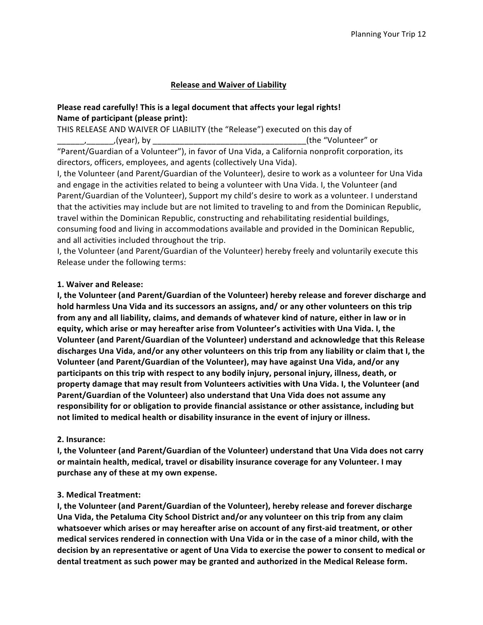## **Release and Waiver of Liability**

## **Please read carefully! This is a legal document that affects your legal rights!** Name of participant (please print):

THIS RELEASE AND WAIVER OF LIABILITY (the "Release") executed on this day of \_\_\_\_\_\_,\_\_\_\_\_\_,(year), by \_\_\_\_\_\_\_\_\_\_\_\_\_\_\_\_\_\_\_\_\_\_\_\_\_\_\_\_\_\_\_\_\_\_(the "Volunteer" or "Parent/Guardian of a Volunteer"), in favor of Una Vida, a California nonprofit corporation, its directors, officers, employees, and agents (collectively Una Vida).

I, the Volunteer (and Parent/Guardian of the Volunteer), desire to work as a volunteer for Una Vida and engage in the activities related to being a volunteer with Una Vida. I, the Volunteer (and Parent/Guardian of the Volunteer), Support my child's desire to work as a volunteer. I understand that the activities may include but are not limited to traveling to and from the Dominican Republic, travel within the Dominican Republic, constructing and rehabilitating residential buildings, consuming food and living in accommodations available and provided in the Dominican Republic, and all activities included throughout the trip.

I, the Volunteer (and Parent/Guardian of the Volunteer) hereby freely and voluntarily execute this Release under the following terms:

## **1. Waiver and Release:**

**I, the Volunteer (and Parent/Guardian of the Volunteer) hereby release and forever discharge and** hold harmless Una Vida and its successors an assigns, and/ or any other volunteers on this trip from any and all liability, claims, and demands of whatever kind of nature, either in law or in equity, which arise or may hereafter arise from Volunteer's activities with Una Vida. I, the **Volunteer (and Parent/Guardian of the Volunteer) understand and acknowledge that this Release** discharges Una Vida, and/or any other volunteers on this trip from any liability or claim that I, the **Volunteer (and Parent/Guardian of the Volunteer), may have against Una Vida, and/or any** participants on this trip with respect to any bodily injury, personal injury, illness, death, or property damage that may result from Volunteers activities with Una Vida. I, the Volunteer (and **Parent/Guardian of the Volunteer) also understand that Una Vida does not assume any** responsibility for or obligation to provide financial assistance or other assistance, including but not limited to medical health or disability insurance in the event of injury or illness.

### **2. Insurance:**

**I, the Volunteer (and Parent/Guardian of the Volunteer) understand that Una Vida does not carry** or maintain health, medical, travel or disability insurance coverage for any Volunteer. I may purchase any of these at my own expense.

### **3. Medical Treatment:**

**I, the Volunteer (and Parent/Guardian of the Volunteer), hereby release and forever discharge** Una Vida, the Petaluma City School District and/or any volunteer on this trip from any claim whatsoever which arises or may hereafter arise on account of any first-aid treatment, or other medical services rendered in connection with Una Vida or in the case of a minor child, with the decision by an representative or agent of Una Vida to exercise the power to consent to medical or dental treatment as such power may be granted and authorized in the Medical Release form.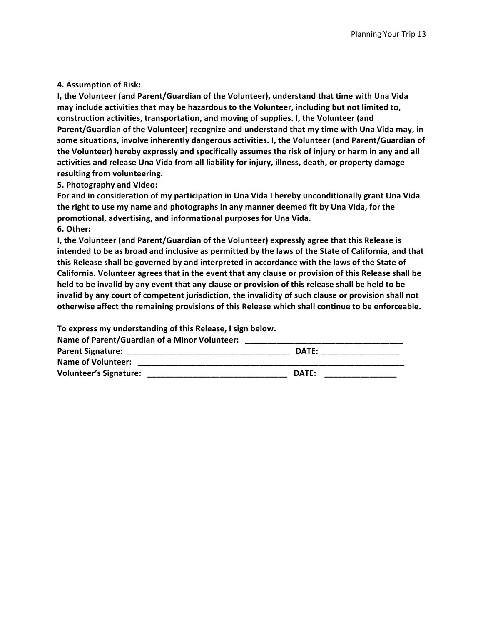#### **4. Assumption of Risk:**

**I, the Volunteer (and Parent/Guardian of the Volunteer), understand that time with Una Vida** may include activities that may be hazardous to the Volunteer, including but not limited to, construction activities, transportation, and moving of supplies. I, the Volunteer (and Parent/Guardian of the Volunteer) recognize and understand that my time with Una Vida may, in some situations, involve inherently dangerous activities. I, the Volunteer (and Parent/Guardian of the Volunteer) hereby expressly and specifically assumes the risk of injury or harm in any and all activities and release Una Vida from all liability for injury, illness, death, or property damage resulting from volunteering.

**5. Photography and Video:**

For and in consideration of my participation in Una Vida I hereby unconditionally grant Una Vida the right to use my name and photographs in any manner deemed fit by Una Vida, for the promotional, advertising, and informational purposes for Una Vida. **6. Other:**

**I, the Volunteer (and Parent/Guardian of the Volunteer) expressly agree that this Release is** intended to be as broad and inclusive as permitted by the laws of the State of California, and that this Release shall be governed by and interpreted in accordance with the laws of the State of California. Volunteer agrees that in the event that any clause or provision of this Release shall be held to be invalid by any event that any clause or provision of this release shall be held to be invalid by any court of competent jurisdiction, the invalidity of such clause or provision shall not otherwise affect the remaining provisions of this Release which shall continue to be enforceable.

To express my understanding of this Release, I sign below.

Name of Parent/Guardian of a Minor Volunteer:

| <b>Parent Signature:</b>      | DATE: |
|-------------------------------|-------|
| <b>Name of Volunteer:</b>     |       |
| <b>Volunteer's Signature:</b> | DATE: |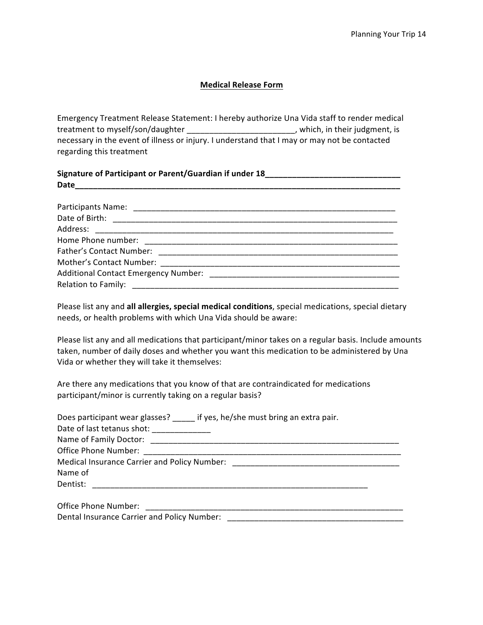### **Medical Release Form**

Emergency Treatment Release Statement: I hereby authorize Una Vida staff to render medical treatment to myself/son/daughter \_\_\_\_\_\_\_\_\_\_\_\_\_\_\_\_\_\_\_\_\_\_\_\_, which, in their judgment, is necessary in the event of illness or injury. I understand that I may or may not be contacted regarding this treatment

| Signature of Participant or Parent/Guardian if under 18__________________________ |  |  |  |  |
|-----------------------------------------------------------------------------------|--|--|--|--|
|                                                                                   |  |  |  |  |
|                                                                                   |  |  |  |  |
|                                                                                   |  |  |  |  |
|                                                                                   |  |  |  |  |
|                                                                                   |  |  |  |  |
|                                                                                   |  |  |  |  |
|                                                                                   |  |  |  |  |
|                                                                                   |  |  |  |  |
|                                                                                   |  |  |  |  |
|                                                                                   |  |  |  |  |

Please list any and all allergies, special medical conditions, special medications, special dietary needs, or health problems with which Una Vida should be aware:

Please list any and all medications that participant/minor takes on a regular basis. Include amounts taken, number of daily doses and whether you want this medication to be administered by Una Vida or whether they will take it themselves:

Are there any medications that you know of that are contraindicated for medications participant/minor is currently taking on a regular basis?

| Does participant wear glasses? if yes, he/she must bring an extra pair.                                         |
|-----------------------------------------------------------------------------------------------------------------|
| Date of last tetanus shot: __________                                                                           |
|                                                                                                                 |
| Office Phone Number:                                                                                            |
| Medical Insurance Carrier and Policy Number: National Action of the Carolina Control of the Carolina Control of |
| Name of                                                                                                         |
| Dentist:                                                                                                        |
| <b>Office Phone Number:</b>                                                                                     |

Dental Insurance Carrier and Policy Number:  $\Box$